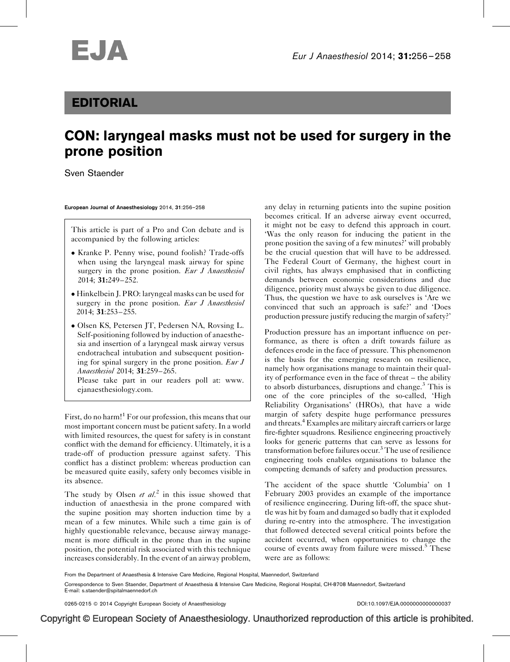

## EDITORIAL

# CON: laryngeal masks must not be used for surgery in the prone position

Sven Staender

European Journal of Anaesthesiology 2014, 31:256–258

This article is part of a Pro and Con debate and is accompanied by the following articles:

- Kranke P. Penny wise, pound foolish? Trade-offs when using the laryngeal mask airway for spine surgery in the prone position. Eur J Anaesthesiol 2014; 31:249–252.
- Hinkelbein J. PRO: laryngeal masks can be used for surgery in the prone position. Eur J Anaesthesiol 2014; 31:253–255.
- Olsen KS, Petersen JT, Pedersen NA, Rovsing L. Self-positioning followed by induction of anaesthesia and insertion of a laryngeal mask airway versus endotracheal intubation and subsequent positioning for spinal surgery in the prone position.  $EurJ$ Anaesthesiol 2014; 31:259–265.

Please take part in our readers poll at: [www.](http://www.ejanaesthesiology.com/) [ejanaesthesiology.com](http://www.ejanaesthesiology.com/).

First, do no harm!<sup>[1](#page-2-0)</sup> For our profession, this means that our most important concern must be patient safety. In a world with limited resources, the quest for safety is in constant conflict with the demand for efficiency. Ultimately, it is a trade-off of production pressure against safety. This conflict has a distinct problem: whereas production can be measured quite easily, safety only becomes visible in its absence.

The study by Olsen et  $al^2$  $al^2$  in this issue showed that induction of anaesthesia in the prone compared with the supine position may shorten induction time by a mean of a few minutes. While such a time gain is of highly questionable relevance, because airway management is more difficult in the prone than in the supine position, the potential risk associated with this technique increases considerably. In the event of an airway problem, any delay in returning patients into the supine position becomes critical. If an adverse airway event occurred, it might not be easy to defend this approach in court. 'Was the only reason for inducing the patient in the prone position the saving of a few minutes?' will probably be the crucial question that will have to be addressed. The Federal Court of Germany, the highest court in civil rights, has always emphasised that in conflicting demands between economic considerations and due diligence, priority must always be given to due diligence. Thus, the question we have to ask ourselves is 'Are we convinced that such an approach is safe?' and 'Does production pressure justify reducing the margin of safety?'

Production pressure has an important influence on performance, as there is often a drift towards failure as defences erode in the face of pressure. This phenomenon is the basis for the emerging research on resilience, namely how organisations manage to maintain their quality of performance even in the face of threat – the ability to absorb disturbances, disruptions and change.<sup>[3](#page-2-0)</sup> This is one of the core principles of the so-called, 'High Reliability Organisations' (HROs), that have a wide margin of safety despite huge performance pressures and threats.<sup>[4](#page-2-0)</sup> Examples are military aircraft carriers or large fire-fighter squadrons. Resilience engineering proactively looks for generic patterns that can serve as lessons for transformation before failures occur.<sup>3</sup> The use of resilience engineering tools enables organisations to balance the competing demands of safety and production pressures.

The accident of the space shuttle 'Columbia' on 1 February 2003 provides an example of the importance of resilience engineering. During lift-off, the space shuttle was hit by foam and damaged so badly that it exploded during re-entry into the atmosphere. The investigation that followed detected several critical points before the accident occurred, when opportunities to change the course of events away from failure were missed.<sup>[5](#page-2-0)</sup> These were are as follows:

From the Department of Anaesthesia & Intensive Care Medicine, Regional Hospital, Maennedorf, Switzerland

Correspondence to Sven Staender, Department of Anaesthesia & Intensive Care Medicine, Regional Hospital, CH-8708 Maennedorf, Switzerland E-mail: [s.staender@spitalmaennedorf.ch](mailto:s.staender@spitalmaennedorf.ch)

0265-0215 © 2014 Copyright European Society of Anaesthesiology DOI:10.1097/EJA.0000000000000000037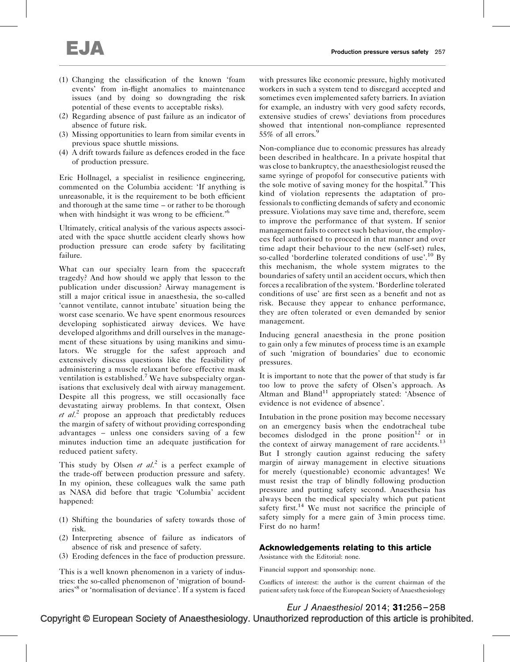- (1) Changing the classification of the known 'foam events' from in-flight anomalies to maintenance issues (and by doing so downgrading the risk potential of these events to acceptable risks).
- (2) Regarding absence of past failure as an indicator of absence of future risk.
- (3) Missing opportunities to learn from similar events in previous space shuttle missions.
- (4) A drift towards failure as defences eroded in the face of production pressure.

Eric Hollnagel, a specialist in resilience engineering, commented on the Columbia accident: 'If anything is unreasonable, it is the requirement to be both efficient and thorough at the same time – or rather to be thorough when with hindsight it was wrong to be efficient.<sup>'[6](#page-2-0)</sup>

Ultimately, critical analysis of the various aspects associated with the space shuttle accident clearly shows how production pressure can erode safety by facilitating failure.

What can our specialty learn from the spacecraft tragedy? And how should we apply that lesson to the publication under discussion? Airway management is still a major critical issue in anaesthesia, the so-called 'cannot ventilate, cannot intubate' situation being the worst case scenario. We have spent enormous resources developing sophisticated airway devices. We have developed algorithms and drill ourselves in the management of these situations by using manikins and simulators. We struggle for the safest approach and extensively discuss questions like the feasibility of administering a muscle relaxant before effective mask ventilation is established.<sup>[7](#page-2-0)</sup> We have subspecialty organisations that exclusively deal with airway management. Despite all this progress, we still occasionally face devastating airway problems. In that context, Olsen et  $al^2$  $al^2$  propose an approach that predictably reduces the margin of safety of without providing corresponding advantages – unless one considers saving of a few minutes induction time an adequate justification for reduced patient safety.

This study by Olsen *et al.*<sup>[2](#page-2-0)</sup> is a perfect example of the trade-off between production pressure and safety. In my opinion, these colleagues walk the same path as NASA did before that tragic 'Columbia' accident happened:

- (1) Shifting the boundaries of safety towards those of risk.
- (2) Interpreting absence of failure as indicators of absence of risk and presence of safety.
- (3) Eroding defences in the face of production pressure.

This is a well known phenomenon in a variety of industries: the so-called phenomenon of 'migration of boundaries'[8](#page-2-0) or 'normalisation of deviance'. If a system is faced

with pressures like economic pressure, highly motivated workers in such a system tend to disregard accepted and sometimes even implemented safety barriers. In aviation for example, an industry with very good safety records, extensive studies of crews' deviations from procedures showed that intentional non-compliance represented 55% of all errors. $9$ 

Non-compliance due to economic pressures has already been described in healthcare. In a private hospital that was close to bankruptcy, the anaesthesiologist reused the same syringe of propofol for consecutive patients with the sole motive of saving money for the hospital.<sup>[9](#page-2-0)</sup> This kind of violation represents the adaptation of professionals to conflicting demands of safety and economic pressure. Violations may save time and, therefore, seem to improve the performance of that system. If senior management fails to correct such behaviour, the employees feel authorised to proceed in that manner and over time adapt their behaviour to the new (self-set) rules, so-called 'borderline tolerated conditions of use'.<sup>[10](#page-2-0)</sup> By this mechanism, the whole system migrates to the boundaries of safety until an accident occurs, which then forces a recalibration of the system. 'Borderline tolerated conditions of use' are first seen as a benefit and not as risk. Because they appear to enhance performance, they are often tolerated or even demanded by senior management.

Inducing general anaesthesia in the prone position to gain only a few minutes of process time is an example of such 'migration of boundaries' due to economic pressures.

It is important to note that the power of that study is far too low to prove the safety of Olsen's approach. As Altman and Bland<sup>[11](#page-2-0)</sup> appropriately stated: 'Absence of evidence is not evidence of absence'.

Intubation in the prone position may become necessary on an emergency basis when the endotracheal tube becomes dislodged in the prone position<sup>[12](#page-2-0)</sup> or in the context of airway management of rare accidents.<sup>[13](#page-2-0)</sup> But I strongly caution against reducing the safety margin of airway management in elective situations for merely (questionable) economic advantages! We must resist the trap of blindly following production pressure and putting safety second. Anaesthesia has always been the medical specialty which put patient safety first.<sup>[14](#page-2-0)</sup> We must not sacrifice the principle of safety simply for a mere gain of 3 min process time. First do no harm!

#### Acknowledgements relating to this article

Assistance with the Editorial: none.

Financial support and sponsorship: none.

Conflicts of interest: the author is the current chairman of the patient safety task force of the European Society of Anaesthesiology

### Copyright © European Society of Anaesthesiology. Unauthorized reproduction of this article is prohibited. Eur J Anaesthesiol 2014; 31:256–258